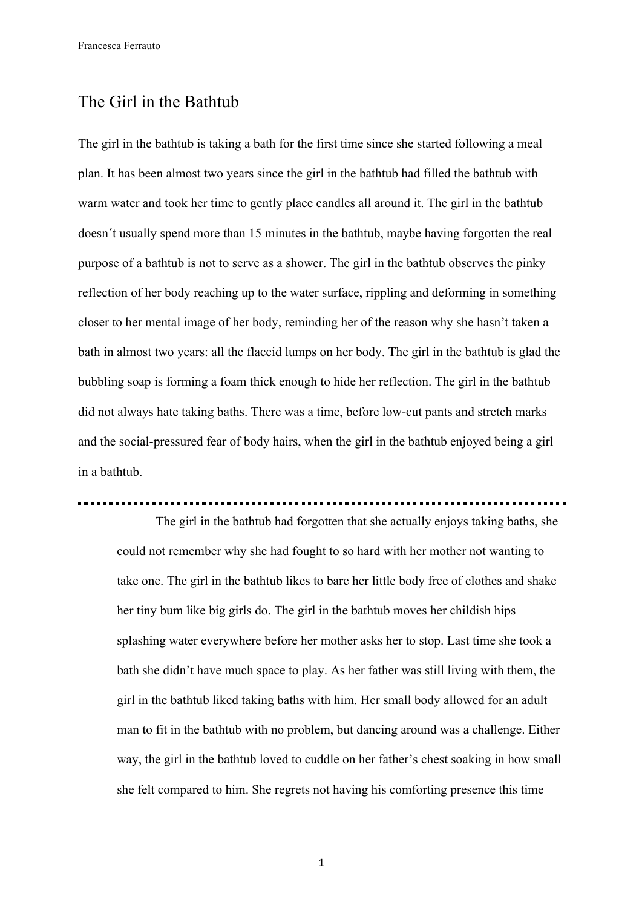Francesca Ferrauto

## The Girl in the Bathtub

The girl in the bathtub is taking a bath for the first time since she started following a meal plan. It has been almost two years since the girl in the bathtub had filled the bathtub with warm water and took her time to gently place candles all around it. The girl in the bathtub doesn´t usually spend more than 15 minutes in the bathtub, maybe having forgotten the real purpose of a bathtub is not to serve as a shower. The girl in the bathtub observes the pinky reflection of her body reaching up to the water surface, rippling and deforming in something closer to her mental image of her body, reminding her of the reason why she hasn't taken a bath in almost two years: all the flaccid lumps on her body. The girl in the bathtub is glad the bubbling soap is forming a foam thick enough to hide her reflection. The girl in the bathtub did not always hate taking baths. There was a time, before low-cut pants and stretch marks and the social-pressured fear of body hairs, when the girl in the bathtub enjoyed being a girl in a bathtub.

The girl in the bathtub had forgotten that she actually enjoys taking baths, she could not remember why she had fought to so hard with her mother not wanting to take one. The girl in the bathtub likes to bare her little body free of clothes and shake her tiny bum like big girls do. The girl in the bathtub moves her childish hips splashing water everywhere before her mother asks her to stop. Last time she took a bath she didn't have much space to play. As her father was still living with them, the girl in the bathtub liked taking baths with him. Her small body allowed for an adult man to fit in the bathtub with no problem, but dancing around was a challenge. Either way, the girl in the bathtub loved to cuddle on her father's chest soaking in how small she felt compared to him. She regrets not having his comforting presence this time

1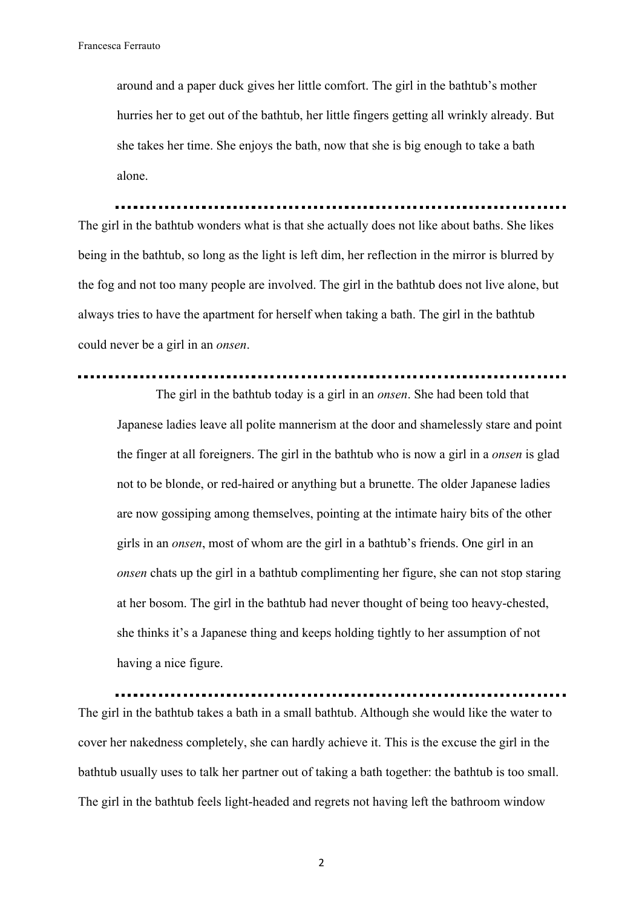around and a paper duck gives her little comfort. The girl in the bathtub's mother hurries her to get out of the bathtub, her little fingers getting all wrinkly already. But she takes her time. She enjoys the bath, now that she is big enough to take a bath alone.

The girl in the bathtub wonders what is that she actually does not like about baths. She likes being in the bathtub, so long as the light is left dim, her reflection in the mirror is blurred by the fog and not too many people are involved. The girl in the bathtub does not live alone, but always tries to have the apartment for herself when taking a bath. The girl in the bathtub could never be a girl in an *onsen*.

## 

The girl in the bathtub today is a girl in an *onsen*. She had been told that Japanese ladies leave all polite mannerism at the door and shamelessly stare and point the finger at all foreigners. The girl in the bathtub who is now a girl in a *onsen* is glad not to be blonde, or red-haired or anything but a brunette. The older Japanese ladies are now gossiping among themselves, pointing at the intimate hairy bits of the other girls in an *onsen*, most of whom are the girl in a bathtub's friends. One girl in an *onsen* chats up the girl in a bathtub complimenting her figure, she can not stop staring at her bosom. The girl in the bathtub had never thought of being too heavy-chested, she thinks it's a Japanese thing and keeps holding tightly to her assumption of not having a nice figure.

The girl in the bathtub takes a bath in a small bathtub. Although she would like the water to cover her nakedness completely, she can hardly achieve it. This is the excuse the girl in the bathtub usually uses to talk her partner out of taking a bath together: the bathtub is too small. The girl in the bathtub feels light-headed and regrets not having left the bathroom window

2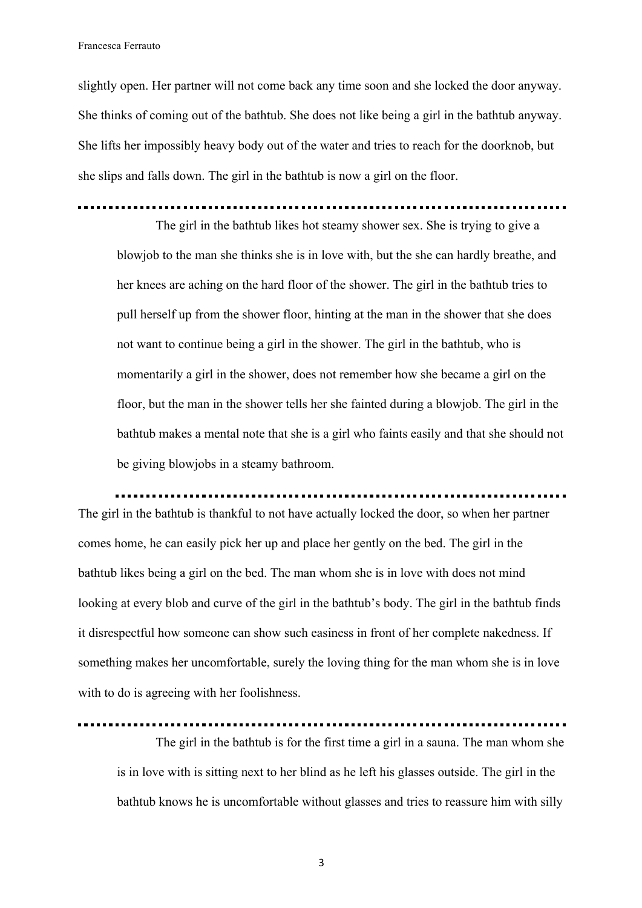Francesca Ferrauto

slightly open. Her partner will not come back any time soon and she locked the door anyway. She thinks of coming out of the bathtub. She does not like being a girl in the bathtub anyway. She lifts her impossibly heavy body out of the water and tries to reach for the doorknob, but she slips and falls down. The girl in the bathtub is now a girl on the floor.

The girl in the bathtub likes hot steamy shower sex. She is trying to give a

blowjob to the man she thinks she is in love with, but the she can hardly breathe, and her knees are aching on the hard floor of the shower. The girl in the bathtub tries to pull herself up from the shower floor, hinting at the man in the shower that she does not want to continue being a girl in the shower. The girl in the bathtub, who is momentarily a girl in the shower, does not remember how she became a girl on the floor, but the man in the shower tells her she fainted during a blowjob. The girl in the bathtub makes a mental note that she is a girl who faints easily and that she should not be giving blowjobs in a steamy bathroom.

The girl in the bathtub is thankful to not have actually locked the door, so when her partner comes home, he can easily pick her up and place her gently on the bed. The girl in the bathtub likes being a girl on the bed. The man whom she is in love with does not mind looking at every blob and curve of the girl in the bathtub's body. The girl in the bathtub finds it disrespectful how someone can show such easiness in front of her complete nakedness. If something makes her uncomfortable, surely the loving thing for the man whom she is in love with to do is agreeing with her foolishness.

The girl in the bathtub is for the first time a girl in a sauna. The man whom she

is in love with is sitting next to her blind as he left his glasses outside. The girl in the bathtub knows he is uncomfortable without glasses and tries to reassure him with silly

3